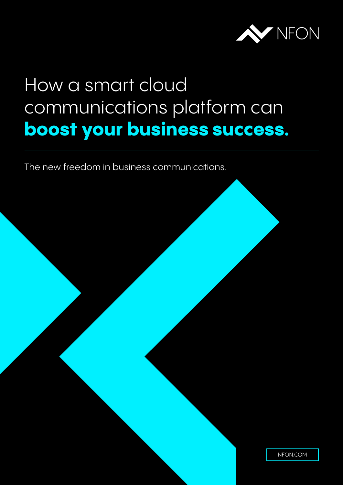

# How a smart cloud communications platform can **boost your business success.**

The new freedom in business communications.

[NFON.COM](https://www.nfon.com/gb/)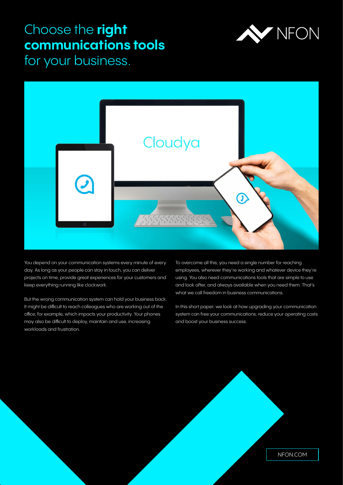# Choose the **right communications tools**



for your business.



You depend on your communication systems every minute of every day. As long as your people can stay in touch, you can deliver projects on time, provide great experiences for your customers and keep everything running like clockwork.

But the wrong communication system can hold your business back. It might be difficult to reach colleagues who are working out of the office, for example, which impacts your productivity. Your phones may also be difficult to deploy, maintain and use, increasing workloads and frustration.

To overcome all this, you need a single number for reaching employees, wherever they're working and whatever device they're using. You also need communications tools that are simple to use and look after, and always available when you need them. That's what we call freedom in business communications.

In this short paper, we look at how upgrading your communication system can free your communications, reduce your operating costs and boost your business success.

[NFON.COM](https://www.nfon.com/gb/)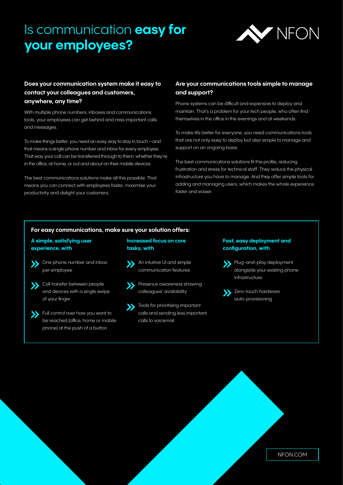# Is communication **easy for your employees?**



# **Does your communication system make it easy to contact your colleagues and customers, anywhere, any time?**

With multiple phone numbers, inboxes and communications tools, your employees can get behind and miss important calls and messages.

To make things better, you need an easy way to stay in touch – and that means a single phone number and inbox for every employee. That way your call can be transferred through to them, whether they're in the office, at home, or out and about on their mobile devices.

The best communications solutions make all this possible. That means you can connect with employees faster, maximise your productivity and delight your customers.

## **Are your communications tools simple to manage and support?**

Phone systems can be difficult and expensive to deploy and maintain. That's a problem for your tech people, who often find themselves in the office in the evenings and at weekends.

To make life better for everyone, you need communications tools that are not only easy to deploy but also simple to manage and support on an ongoing basis.

The best communications solutions fit this profile, reducing frustration and stress for technical staff. They reduce the physical infrastructure you have to manage. And they offer simple tools for adding and managing users, which makes the whole experience faster and easier.

#### **For easy communications, make sure your solution offers:**

### **A simple, satisfying user experience, with**

- Solve phone number and inbox per employee
- Call transfer between people and devices with a single swipe of your finger
- Full control over how you want to be reached (office, home or mobile phone) at the push of a button

#### **Increased focus on core tasks, with**

- **An intuitive UI and simple** communication features
- **S** Presence awareness showing colleagues' availability
- **Tools for prioritising important** calls and sending less important calls to voicemail

#### **Fast, easy deployment and configuration, with**

- Plug-and-play deployment alongside your existing phone infrastructure
- Subsetero-touch hardware auto-provisioning

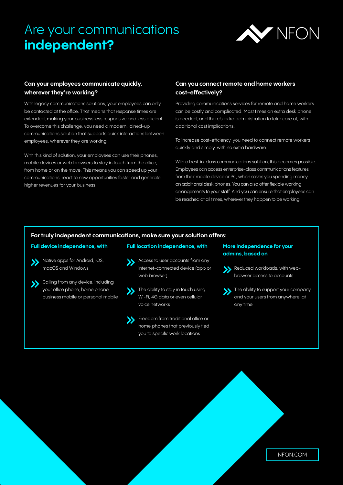# Are your communications **independent?**



# **Can your employees communicate quickly, wherever they're working?**

With legacy communications solutions, your employees can only be contacted at the office. That means that response times are extended, making your business less responsive and less efficient. To overcome this challenge, you need a modern, joined-up communications solution that supports quick interactions between employees, wherever they are working.

With this kind of solution, your employees can use their phones, mobile devices or web browsers to stay in touch from the office, from home or on the move. This means you can speed up your communications, react to new opportunities faster and generate higher revenues for your business.

## **Can you connect remote and home workers cost-effectively?**

Providing communications services for remote and home workers can be costly and complicated. Most times an extra desk phone is needed, and there's extra administration to take care of, with additional cost implications.

To increase cost-efficiency, you need to connect remote workers quickly and simply, with no extra hardware.

With a best-in-class communications solution, this becomes possible. Employees can access enterprise-class communications features from their mobile device or PC, which saves you spending money on additional desk phones. You can also offer flexible working arrangements to your staff. And you can ensure that employees can be reached at all times, wherever they happen to be working.

#### **For truly independent communications, make sure your solution offers:**

#### **Full device independence, with**



- **Native apps for Android, iOS,** macOS and Windows
- Solling from any device, including your office phone, home phone, business mobile or personal mobile
- Access to user accounts from any internet-connected device (app or web browser)

**Full location independence, with**

- **S** The ability to stay in touch using Wi-Fi, 4G data or even cellular voice networks
- **S** Freedom from traditional office or home phones that previously tied you to specific work locations

#### **More independence for your admins, based on**

- Reduced workloads, with webbrowser access to accounts
- The ability to support your company and your users from anywhere, at any time

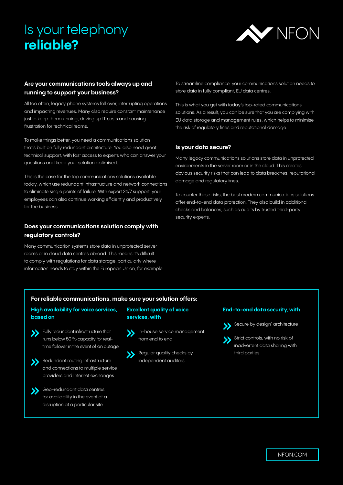# Is your telephony **reliable?**



# **Are your communications tools always up and running to support your business?**

All too often, legacy phone systems fall over, interrupting operations and impacting revenues. Many also require constant maintenance just to keep them running, driving up IT costs and causing frustration for technical teams.

To make things better, you need a communications solution that's built on fully redundant architecture. You also need great technical support, with fast access to experts who can answer your questions and keep your solution optimised.

This is the case for the top communications solutions available today, which use redundant infrastructure and network connections to eliminate single points of failure. With expert 24/7 support, your employees can also continue working efficiently and productively for the business.

# **Does your communications solution comply with regulatory controls?**

Many communication systems store data in unprotected server rooms or in cloud data centres abroad. This means it's difficult to comply with regulations for data storage, particularly where information needs to stay within the European Union, for example.

To streamline compliance, your communications solution needs to store data in fully compliant, EU data centres.

This is what you get with today's top-rated communications solutions. As a result, you can be sure that you are complying with EU data storage and management rules, which helps to minimise the risk of regulatory fines and reputational damage.

### **Is your data secure?**

Many legacy communications solutions store data in unprotected environments in the server room or in the cloud. This creates obvious security risks that can lead to data breaches, reputational damage and regulatory fines.

To counter these risks, the best modern communications solutions offer end-to-end data protection. They also build in additional checks and balances, such as audits by trusted third-party security experts.

#### **For reliable communications, make sure your solution offers:**

### **High availability for voice services, based on**

- **Starting Fully redundant infrastructure that** runs below 50 % capacity for realtime failover in the event of an outage
- Redundant routing infrastructure and connections to multiple service providers and Internet exchanges

### Geo-redundant data centres for availability in the event of a disruption at a particular site

#### **Excellent quality of voice services, with**

- In-house service management from end to end
- Regular quality checks by independent auditors

#### **End-to-end data security, with**



Strict controls, with no risk of inadvertent data sharing with third parties